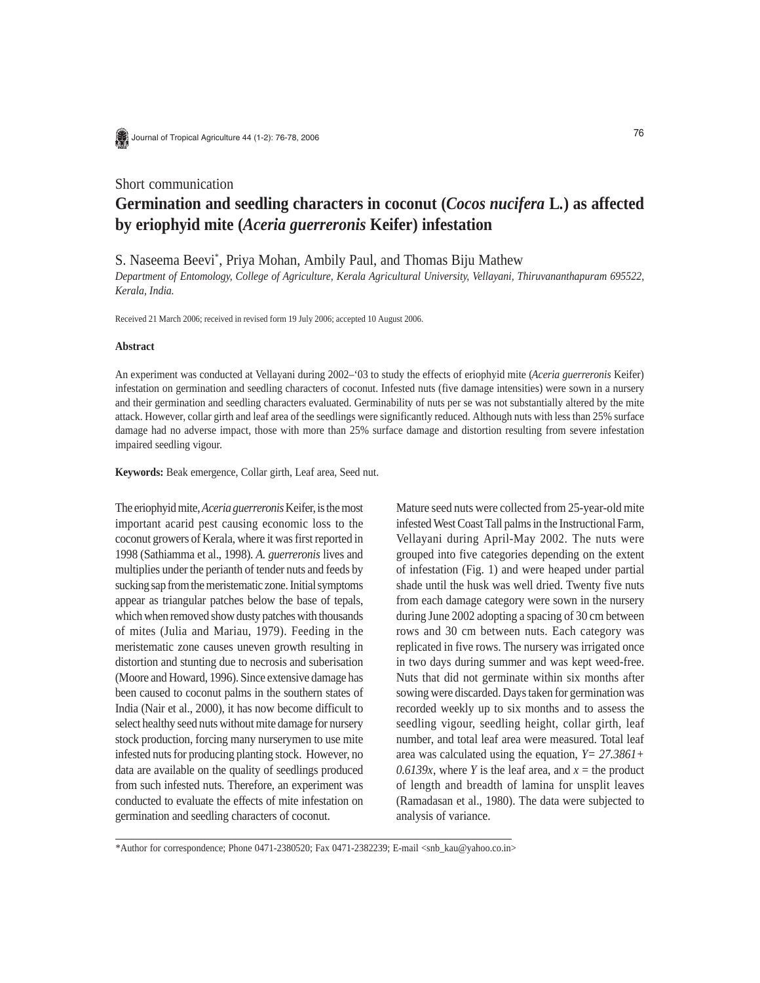

Journal of Tropical Agriculture 44 (1-2): 76-78, 2006

# Short communication

# **Germination and seedling characters in coconut (***Cocos nucifera* **L***.***) as affected by eriophyid mite (***Aceria guerreronis* **Keifer) infestation**

S. Naseema Beevi\* , Priya Mohan, Ambily Paul, and Thomas Biju Mathew

*Department of Entomology, College of Agriculture, Kerala Agricultural University, Vellayani, Thiruvananthapuram 695522, Kerala, India.*

Received 21 March 2006; received in revised form 19 July 2006; accepted 10 August 2006.

#### **Abstract**

An experiment was conducted at Vellayani during 2002–'03 to study the effects of eriophyid mite (*Aceria guerreronis* Keifer) infestation on germination and seedling characters of coconut. Infested nuts (five damage intensities) were sown in a nursery and their germination and seedling characters evaluated. Germinability of nuts per se was not substantially altered by the mite attack. However, collar girth and leaf area of the seedlings were significantly reduced. Although nuts with less than 25% surface damage had no adverse impact, those with more than 25% surface damage and distortion resulting from severe infestation impaired seedling vigour.

**Keywords:** Beak emergence, Collar girth, Leaf area, Seed nut.

The eriophyid mite, *Aceria guerreronis* Keifer, is the most important acarid pest causing economic loss to the coconut growers of Kerala, where it was first reported in 1998 (Sathiamma et al., 1998). *A. guerreronis* lives and multiplies under the perianth of tender nuts and feeds by sucking sap from the meristematic zone. Initial symptoms appear as triangular patches below the base of tepals, which when removed show dusty patches with thousands of mites (Julia and Mariau, 1979). Feeding in the meristematic zone causes uneven growth resulting in distortion and stunting due to necrosis and suberisation (Moore and Howard, 1996). Since extensive damage has been caused to coconut palms in the southern states of India (Nair et al., 2000), it has now become difficult to select healthy seed nuts without mite damage for nursery stock production, forcing many nurserymen to use mite infested nuts for producing planting stock. However, no data are available on the quality of seedlings produced from such infested nuts. Therefore, an experiment was conducted to evaluate the effects of mite infestation on germination and seedling characters of coconut.

Mature seed nuts were collected from 25-year-old mite infested West Coast Tall palms in the Instructional Farm, Vellayani during April-May 2002. The nuts were grouped into five categories depending on the extent of infestation (Fig. 1) and were heaped under partial shade until the husk was well dried. Twenty five nuts from each damage category were sown in the nursery during June 2002 adopting a spacing of 30 cm between rows and 30 cm between nuts. Each category was replicated in five rows. The nursery was irrigated once in two days during summer and was kept weed-free. Nuts that did not germinate within six months after sowing were discarded. Days taken for germination was recorded weekly up to six months and to assess the seedling vigour, seedling height, collar girth, leaf number, and total leaf area were measured. Total leaf area was calculated using the equation, *Y= 27.3861+ 0.6139x*, where *Y* is the leaf area, and  $x =$  the product of length and breadth of lamina for unsplit leaves (Ramadasan et al., 1980). The data were subjected to analysis of variance.

<sup>\*</sup>Author for correspondence; Phone 0471-2380520; Fax 0471-2382239; E-mail <snb\_kau@yahoo.co.in>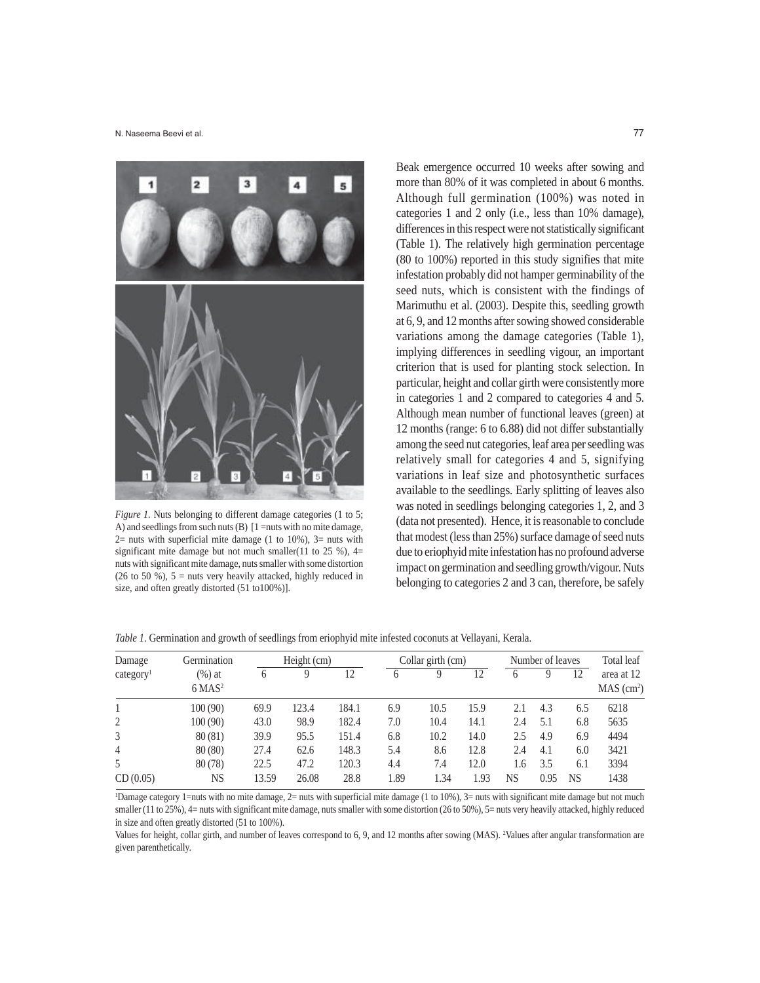

*Figure 1.* Nuts belonging to different damage categories (1 to 5; A) and seedlings from such nuts (B) [1 =nuts with no mite damage,  $2=$  nuts with superficial mite damage (1 to 10%),  $3=$  nuts with significant mite damage but not much smaller(11 to 25 %),  $4=$ nuts with significant mite damage, nuts smaller with some distortion (26 to 50 %),  $5 =$  nuts very heavily attacked, highly reduced in size, and often greatly distorted (51 to100%)].

Beak emergence occurred 10 weeks after sowing and more than 80% of it was completed in about 6 months. Although full germination (100%) was noted in categories 1 and 2 only (i.e., less than 10% damage), differences in this respect were not statistically significant (Table 1). The relatively high germination percentage (80 to 100%) reported in this study signifies that mite infestation probably did not hamper germinability of the seed nuts, which is consistent with the findings of Marimuthu et al. (2003). Despite this, seedling growth at 6, 9, and 12 months after sowing showed considerable variations among the damage categories (Table 1), implying differences in seedling vigour, an important criterion that is used for planting stock selection. In particular, height and collar girth were consistently more in categories 1 and 2 compared to categories 4 and 5. Although mean number of functional leaves (green) at 12 months (range: 6 to 6.88) did not differ substantially among the seed nut categories, leaf area per seedling was relatively small for categories 4 and 5, signifying variations in leaf size and photosynthetic surfaces available to the seedlings. Early splitting of leaves also was noted in seedlings belonging categories 1, 2, and 3 (data not presented). Hence, it is reasonable to conclude that modest (less than 25%) surface damage of seed nuts due to eriophyid mite infestation has no profound adverse impact on germination and seedling growth/vigour. Nuts belonging to categories 2 and 3 can, therefore, be safely

| Damage<br>category <sup>1</sup> | Germination<br>(%) at<br>$6$ MAS <sup>2</sup> | Height (cm) |       |       | Collar girth (cm) |      |      | Number of leaves |      |           | Total leaf                           |
|---------------------------------|-----------------------------------------------|-------------|-------|-------|-------------------|------|------|------------------|------|-----------|--------------------------------------|
|                                 |                                               | 6           | Q     | 12    |                   | Q    | 12   | <sub>(</sub>     |      | 12        | area at 12<br>MAS (cm <sup>2</sup> ) |
|                                 | 100(90)                                       | 69.9        | 123.4 | 184.1 | 6.9               | 10.5 | 15.9 | 2.1              | 4.3  | 6.5       | 6218                                 |
|                                 | 100(90)                                       | 43.0        | 98.9  | 182.4 | 7.0               | 10.4 | 14.1 | 2.4              | 5.1  | 6.8       | 5635                                 |
| 3                               | 80(81)                                        | 39.9        | 95.5  | 151.4 | 6.8               | 10.2 | 14.0 | 2.5              | 4.9  | 6.9       | 4494                                 |
| $\overline{4}$                  | 80(80)                                        | 27.4        | 62.6  | 148.3 | 5.4               | 8.6  | 12.8 | 2.4              | 4.1  | 6.0       | 3421                                 |
|                                 | 80(78)                                        | 22.5        | 47.2  | 120.3 | 4.4               | 7.4  | 12.0 | 1.6              | 3.5  | 6.1       | 3394                                 |
| CD(0.05)                        | NS                                            | 13.59       | 26.08 | 28.8  | 1.89              | l.34 | 1.93 | NS               | 0.95 | <b>NS</b> | 1438                                 |

*Table 1.* Germination and growth of seedlings from eriophyid mite infested coconuts at Vellayani, Kerala.

1 Damage category 1=nuts with no mite damage, 2= nuts with superficial mite damage (1 to 10%), 3= nuts with significant mite damage but not much smaller (11 to 25%), 4= nuts with significant mite damage, nuts smaller with some distortion (26 to 50%), 5= nuts very heavily attacked, highly reduced in size and often greatly distorted (51 to 100%).

Values for height, collar girth, and number of leaves correspond to 6, 9, and 12 months after sowing (MAS). 2 Values after angular transformation are given parenthetically.